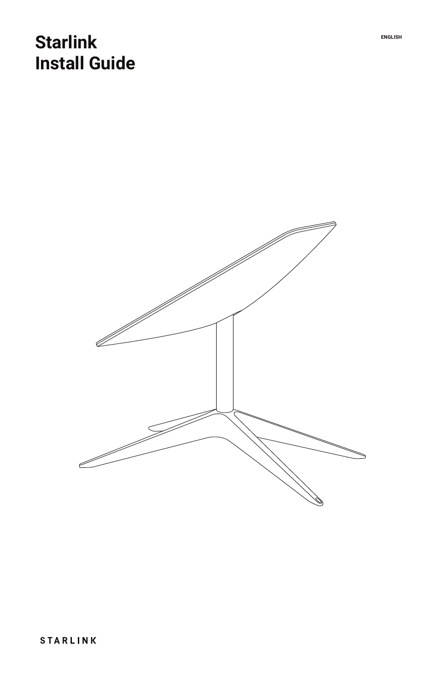# **Starlink EXECUTER Install Guide**

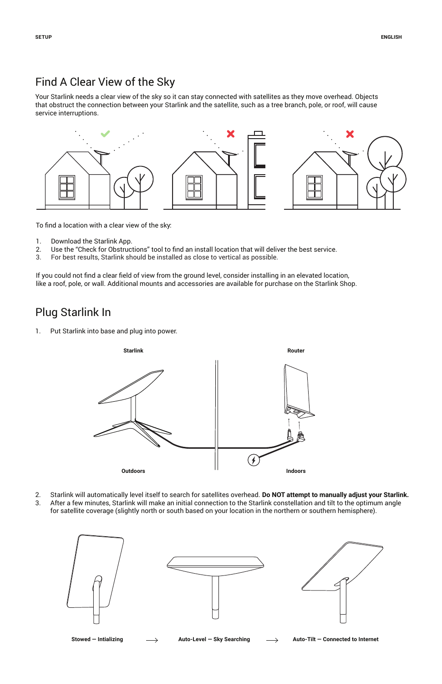## Find A Clear View of the Sky

Your Starlink needs a clear view of the sky so it can stay connected with satellites as they move overhead. Objects that obstruct the connection between your Starlink and the satellite, such as a tree branch, pole, or roof, will cause service interruptions.



To find a location with a clear view of the sky:

- 1. Download the Starlink App.<br>2. Use the "Check for Obstruc
- Use the "Check for Obstructions" tool to find an install location that will deliver the best service.
- 3. For best results, Starlink should be installed as close to vertical as possible.

If you could not find a clear field of view from the ground level, consider installing in an elevated location, like a roof, pole, or wall. Additional mounts and accessories are available for purchase on the Starlink Shop.

### Plug Starlink In

1. Put Starlink into base and plug into power.



- 2. Starlink will automatically level itself to search for satellites overhead. **Do NOT attempt to manually adjust your Starlink.**
- 3. After a few minutes, Starlink will make an initial connection to the Starlink constellation and tilt to the optimum angle for satellite coverage (slightly north or south based on your location in the northern or southern hemisphere).